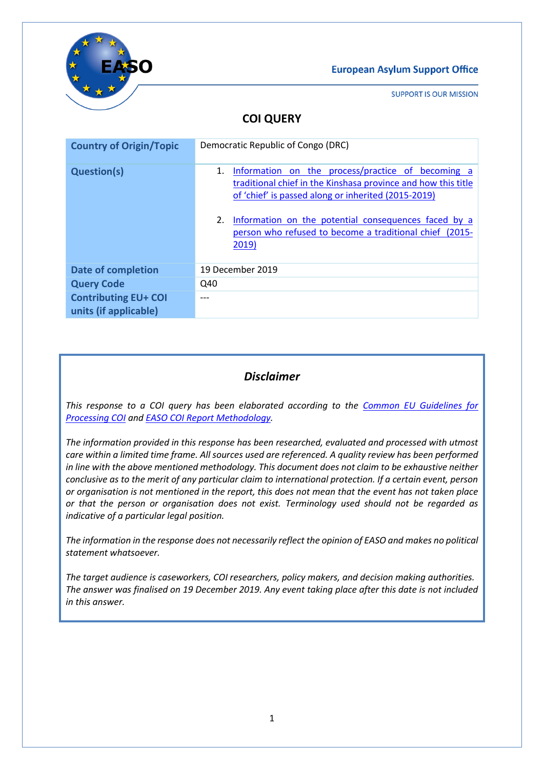

**SUPPORT IS OUR MISSION** 

# **COI QUERY**

| <b>Country of Origin/Topic</b>                       | Democratic Republic of Congo (DRC)                                                                                                                                              |
|------------------------------------------------------|---------------------------------------------------------------------------------------------------------------------------------------------------------------------------------|
| <b>Question(s)</b>                                   | Information on the process/practice of becoming a<br>1.<br>traditional chief in the Kinshasa province and how this title<br>of 'chief' is passed along or inherited (2015-2019) |
|                                                      | 2.<br>Information on the potential consequences faced by a<br>person who refused to become a traditional chief (2015-<br>2019)                                                  |
| <b>Date of completion</b>                            | 19 December 2019                                                                                                                                                                |
| <b>Query Code</b>                                    | Q40                                                                                                                                                                             |
| <b>Contributing EU+ COI</b><br>units (if applicable) |                                                                                                                                                                                 |

### *Disclaimer*

*This response to a COI query has been elaborated according to the [Common EU Guidelines for](https://coi.easo.europa.eu/administration/easo/PLib/EU_Common_COI_Guidelines_2008_EN.pdf)  [Processing COI](https://coi.easo.europa.eu/administration/easo/PLib/EU_Common_COI_Guidelines_2008_EN.pdf) and EASO [COI Report Methodology.](https://coi.easo.europa.eu/administration/easo/PLib/2019_EASO_COI_Report_Methodology.pdf)* 

*The information provided in this response has been researched, evaluated and processed with utmost care within a limited time frame. All sources used are referenced. A quality review has been performed in line with the above mentioned methodology. This document does not claim to be exhaustive neither conclusive as to the merit of any particular claim to international protection. If a certain event, person or organisation is not mentioned in the report, this does not mean that the event has not taken place or that the person or organisation does not exist. Terminology used should not be regarded as indicative of a particular legal position.* 

*The information in the response does not necessarily reflect the opinion of EASO and makes no political statement whatsoever.*

*The target audience is caseworkers, COI researchers, policy makers, and decision making authorities. The answer was finalised on 19 December 2019. Any event taking place after this date is not included in this answer.*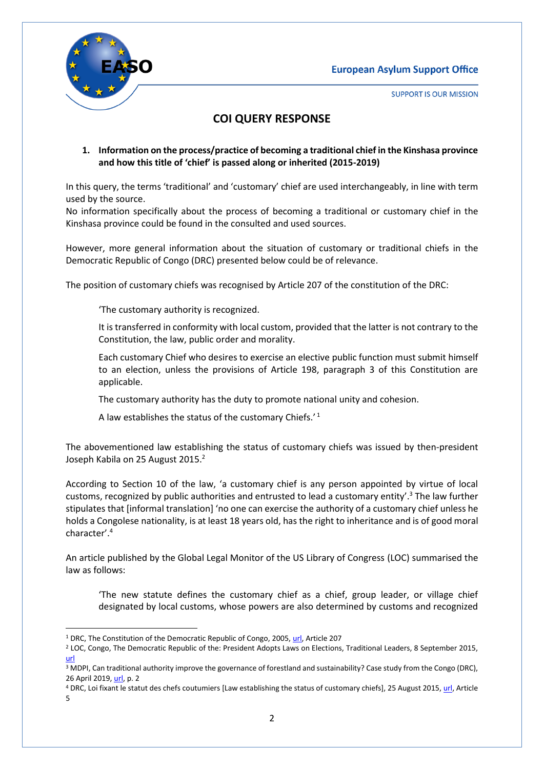

**SUPPORT IS OUR MISSION** 

### **COI QUERY RESPONSE**

<span id="page-1-0"></span>**1. Information on the process/practice of becoming a traditional chief in the Kinshasa province and how this title of 'chief' is passed along or inherited (2015-2019)**

In this query, the terms 'traditional' and 'customary' chief are used interchangeably, in line with term used by the source.

No information specifically about the process of becoming a traditional or customary chief in the Kinshasa province could be found in the consulted and used sources.

However, more general information about the situation of customary or traditional chiefs in the Democratic Republic of Congo (DRC) presented below could be of relevance.

The position of customary chiefs was recognised by Article 207 of the constitution of the DRC:

'The customary authority is recognized.

It is transferred in conformity with local custom, provided that the latter is not contrary to the Constitution, the law, public order and morality.

Each customary Chief who desires to exercise an elective public function must submit himself to an election, unless the provisions of Article 198, paragraph 3 of this Constitution are applicable.

The customary authority has the duty to promote national unity and cohesion.

A law establishes the status of the customary Chiefs. $^{\prime}$ <sup>1</sup>

The abovementioned law establishing the status of customary chiefs was issued by then-president Joseph Kabila on 25 August 2015.<sup>2</sup>

According to Section 10 of the law, 'a customary chief is any person appointed by virtue of local customs, recognized by public authorities and entrusted to lead a customary entity'.<sup>3</sup> The law further stipulates that [informal translation] 'no one can exercise the authority of a customary chief unless he holds a Congolese nationality, is at least 18 years old, has the right to inheritance and is of good moral character'. 4

An article published by the Global Legal Monitor of the US Library of Congress (LOC) summarised the law as follows:

'The new statute defines the customary chief as a chief, group leader, or village chief designated by local customs, whose powers are also determined by customs and recognized

 $\overline{\phantom{a}}$ <sup>1</sup> DRC, The Constitution of the Democratic Republic of Congo, 2005[, url,](http://constitutionnet.org/sites/default/files/DRC%20-%20Congo%20Constitution.pdf) Article 207

<sup>&</sup>lt;sup>2</sup> LOC, Congo, The Democratic Republic of the: President Adopts Laws on Elections, Traditional Leaders, 8 September 2015, [url](https://www.loc.gov/law/foreign-news/article/congo-the-democratic-republic-of-the-president-adopts-laws-on-elections-traditional-leaders/)

<sup>&</sup>lt;sup>3</sup> MDPI, Can traditional authority improve the governance of forestland and sustainability? Case study from the Congo (DRC), 26 April 2019, [url,](https://www.mdpi.com/2073-445X/8/5/74) p. 2

<sup>4</sup> DRC, Loi fixant le statut des chefs coutumiers [Law establishing the status of customary chiefs], 25 August 2015[, url,](https://www.droitcongolais.info/files/1.11.1.-Loi-du-25-aout-2015_Statut-des-chefs-coutumiers.pdf) Article 5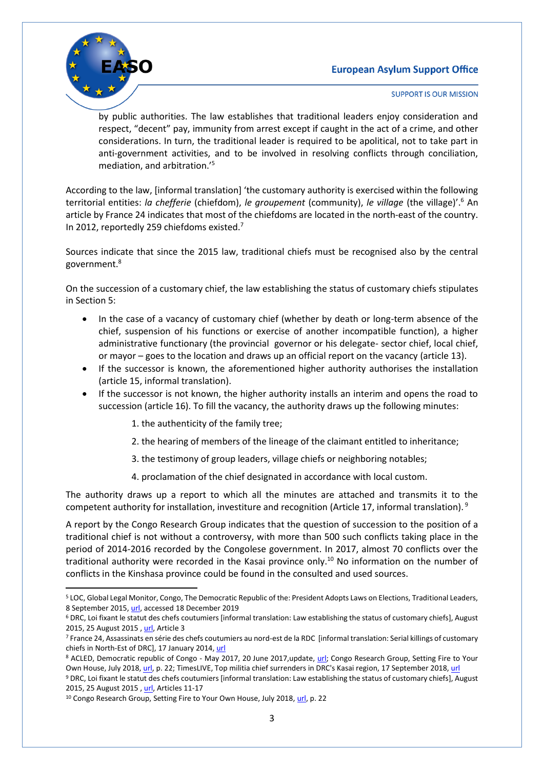

1

**SUPPORT IS OUR MISSION** 

by public authorities. The law establishes that traditional leaders enjoy consideration and respect, "decent" pay, immunity from arrest except if caught in the act of a crime, and other considerations. In turn, the traditional leader is required to be apolitical, not to take part in anti-government activities, and to be involved in resolving conflicts through conciliation, mediation, and arbitration.'<sup>5</sup>

According to the law, [informal translation] 'the customary authority is exercised within the following territorial entities: *la chefferie* (chiefdom), *le groupement* (community), *le village* (the village)'.<sup>6</sup> An article by France 24 indicates that most of the chiefdoms are located in the north-east of the country. In 2012, reportedly 259 chiefdoms existed.<sup>7</sup>

Sources indicate that since the 2015 law, traditional chiefs must be recognised also by the central government.<sup>8</sup>

On the succession of a customary chief, the law establishing the status of customary chiefs stipulates in Section 5:

- In the case of a vacancy of customary chief (whether by death or long-term absence of the chief, suspension of his functions or exercise of another incompatible function), a higher administrative functionary (the provincial governor or his delegate- sector chief, local chief, or mayor – goes to the location and draws up an official report on the vacancy (article 13).
- If the successor is known, the aforementioned higher authority authorises the installation (article 15, informal translation).
- If the successor is not known, the higher authority installs an interim and opens the road to succession (article 16). To fill the vacancy, the authority draws up the following minutes:

1. the authenticity of the family tree;

2. the hearing of members of the lineage of the claimant entitled to inheritance;

- 3. the testimony of group leaders, village chiefs or neighboring notables;
- 4. proclamation of the chief designated in accordance with local custom.

The authority draws up a report to which all the minutes are attached and transmits it to the competent authority for installation, investiture and recognition (Article 17, informal translation).<sup>9</sup>

A report by the Congo Research Group indicates that the question of succession to the position of a traditional chief is not without a controversy, with more than 500 such conflicts taking place in the period of 2014-2016 recorded by the Congolese government. In 2017, almost 70 conflicts over the traditional authority were recorded in the Kasai province only.<sup>10</sup> No information on the number of conflicts in the Kinshasa province could be found in the consulted and used sources.

<sup>5</sup> LOC, Global Legal Monitor, Congo, The Democratic Republic of the: President Adopts Laws on Elections, Traditional Leaders, 8 September 2015[, url,](https://www.loc.gov/law/foreign-news/article/congo-the-democratic-republic-of-the-president-adopts-laws-on-elections-traditional-leaders/) accessed 18 December 2019

<sup>6</sup> DRC, Loi fixant le statut des chefs coutumiers [informal translation: Law establishing the status of customary chiefs], August 2015, 25 August 2015 [, url,](https://www.droitcongolais.info/files/1.11.1.-Loi-du-25-aout-2015_Statut-des-chefs-coutumiers.pdf) Article 3

<sup>7</sup> France 24, Assassinats en série des chefs coutumiers au nord-est de la RDC [informal translation: Serial killings of customary chiefs in North-Est of DRC], 17 January 2014, [url](https://observers.france24.com/fr/20140117-assassinats-chefs-republique-democratique-congo)

<sup>8</sup> ACLED, Democratic republic of Congo - May 2017, 20 June 2017,update, [url;](https://www.acleddata.com/2017/06/20/democratic-republic-of-congo-may-2017-update/) Congo Research Group, Setting Fire to Your Own House, July 2018, [url,](http://congoresearchgroup.org/wp-content/uploads/2018/07/Setting-Fire-to-your-Own-House-CRG-FINAL.pdf) p. 22; TimesLIVE, Top militia chief surrenders in DRC's Kasai region, 17 September 2018[, url](https://www.timeslive.co.za/news/africa/2018-09-17-top-militia-chief-surrenders-in-dr-congos-kasai-region/)

<sup>9</sup> DRC, Loi fixant le statut des chefs coutumiers [informal translation: Law establishing the status of customary chiefs], August 2015, 25 August 2015 [, url,](https://www.droitcongolais.info/files/1.11.1.-Loi-du-25-aout-2015_Statut-des-chefs-coutumiers.pdf) Articles 11-17

<sup>&</sup>lt;sup>10</sup> Congo Research Group, Setting Fire to Your Own House, July 2018[, url,](http://congoresearchgroup.org/wp-content/uploads/2018/07/Setting-Fire-to-your-Own-House-CRG-FINAL.pdf) p. 22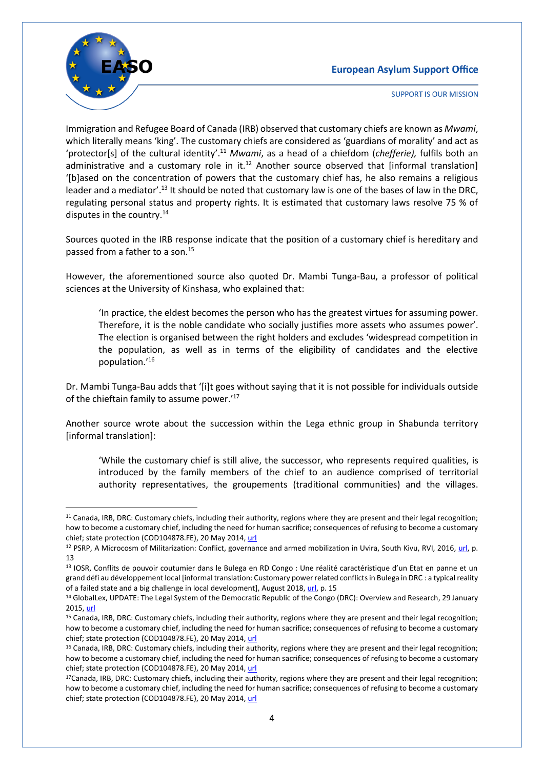

**.** 

**SUPPORT IS OUR MISSION** 

Immigration and Refugee Board of Canada (IRB) observed that customary chiefs are known as *Mwami*, which literally means 'king'. The customary chiefs are considered as 'guardians of morality' and act as 'protector[s] of the cultural identity'. <sup>11</sup> *Mwami*, as a head of a chiefdom (*chefferie),* fulfils both an administrative and a customary role in it.<sup>12</sup> Another source observed that [informal translation] '[b]ased on the concentration of powers that the customary chief has, he also remains a religious leader and a mediator'.<sup>13</sup> It should be noted that customary law is one of the bases of law in the DRC, regulating personal status and property rights. It is estimated that customary laws resolve 75 % of disputes in the country.<sup>14</sup>

Sources quoted in the IRB response indicate that the position of a customary chief is hereditary and passed from a father to a son.<sup>15</sup>

However, the aforementioned source also quoted Dr. Mambi Tunga-Bau, a professor of political sciences at the University of Kinshasa, who explained that:

'In practice, the eldest becomes the person who has the greatest virtues for assuming power. Therefore, it is the noble candidate who socially justifies more assets who assumes power'. The election is organised between the right holders and excludes 'widespread competition in the population, as well as in terms of the eligibility of candidates and the elective population.' 16

Dr. Mambi Tunga-Bau adds that '[i]t goes without saying that it is not possible for individuals outside of the chieftain family to assume power.' 17

Another source wrote about the succession within the Lega ethnic group in Shabunda territory [informal translation]:

'While the customary chief is still alive, the successor, who represents required qualities, is introduced by the family members of the chief to an audience comprised of territorial authority representatives, the groupements (traditional communities) and the villages.

<sup>11</sup> Canada, IRB, DRC: Customary chiefs, including their authority, regions where they are present and their legal recognition; how to become a customary chief, including the need for human sacrifice; consequences of refusing to become a customary chief; state protection (COD104878.FE), 20 May 2014[, url](https://irb-cisr.gc.ca/en/country-information/rir/Pages/index.aspx?doc=455814&pls=1)

<sup>12</sup> PSRP, A Microcosm of Militarization: Conflict, governance and armed mobilization in Uvira, South Kivu, RVI, 2016, [url,](http://riftvalley.net/publication/microcosm-militarization#.Xfoi_mQzaUk) p. 13

<sup>13</sup> IOSR, Conflits de pouvoir coutumier dans le Bulega en RD Congo : Une réalité caractéristique d'un Etat en panne et un grand défi au développement local [informal translation: Customary power related conflicts in Bulega in DRC : a typical reality of a failed state and a big challenge in local development], August 2018[, url,](http://www.iosrjournals.org/iosr-jhss/papers/Vol.%2023%20Issue8/Version-2/B2308020925.pdf) p. 15

<sup>14</sup> GlobalLex, UPDATE: The Legal System of the Democratic Republic of the Congo (DRC): Overview and Research, 29 January 2015[, url](https://www.nyulawglobal.org/globalex/Democratic_Republic_Congo1.html)

<sup>15</sup> Canada, IRB, DRC: Customary chiefs, including their authority, regions where they are present and their legal recognition; how to become a customary chief, including the need for human sacrifice; consequences of refusing to become a customary chief; state protection (COD104878.FE), 20 May 2014[, url](https://irb-cisr.gc.ca/en/country-information/rir/Pages/index.aspx?doc=455814&pls=1)

<sup>&</sup>lt;sup>16</sup> Canada, IRB, DRC: Customary chiefs, including their authority, regions where they are present and their legal recognition; how to become a customary chief, including the need for human sacrifice; consequences of refusing to become a customary chief; state protection (COD104878.FE), 20 May 2014[, url](https://irb-cisr.gc.ca/en/country-information/rir/Pages/index.aspx?doc=455814&pls=1)

<sup>17</sup>Canada, IRB, DRC: Customary chiefs, including their authority, regions where they are present and their legal recognition; how to become a customary chief, including the need for human sacrifice; consequences of refusing to become a customary chief; state protection (COD104878.FE), 20 May 2014[, url](https://irb-cisr.gc.ca/en/country-information/rir/Pages/index.aspx?doc=455814&pls=1)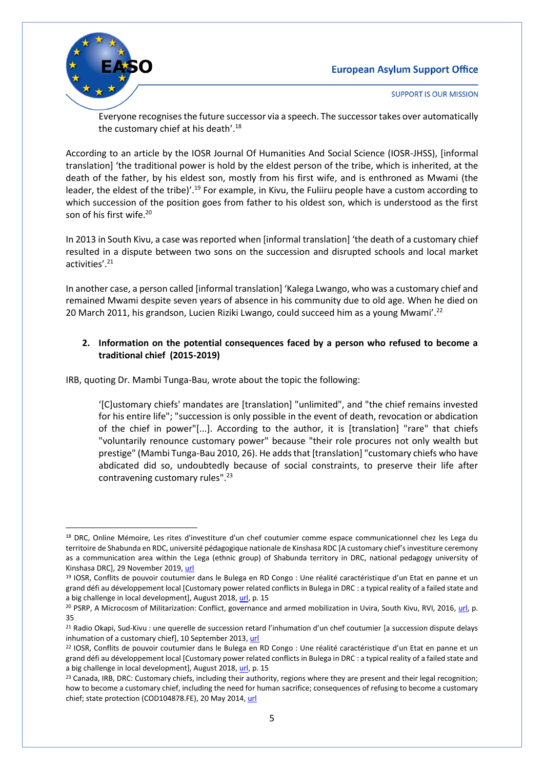

1

**SUPPORT IS OUR MISSION** 

Everyone recognisesthe future successor via a speech. The successor takes over automatically the customary chief at his death'.<sup>18</sup>

According to an article by the IOSR Journal Of Humanities And Social Science (IOSR-JHSS), [informal translation] 'the traditional power is hold by the eldest person of the tribe, which is inherited, at the death of the father, by his eldest son, mostly from his first wife, and is enthroned as Mwami (the leader, the eldest of the tribe)'.<sup>19</sup> For example, in Kivu, the Fuliiru people have a custom according to which succession of the position goes from father to his oldest son, which is understood as the first son of his first wife.<sup>20</sup>

In 2013 in South Kivu, a case was reported when [informal translation] 'the death of a customary chief resulted in a dispute between two sons on the succession and disrupted schools and local market activities'. 21

In another case, a person called [informal translation] 'Kalega Lwango, who was a customary chief and remained Mwami despite seven years of absence in his community due to old age. When he died on 20 March 2011, his grandson, Lucien Riziki Lwango, could succeed him as a young Mwami'.<sup>22</sup>

#### <span id="page-4-0"></span>**2. Information on the potential consequences faced by a person who refused to become a traditional chief (2015-2019)**

IRB, quoting Dr. Mambi Tunga-Bau, wrote about the topic the following:

'[C]ustomary chiefs' mandates are [translation] "unlimited", and "the chief remains invested for his entire life"; "succession is only possible in the event of death, revocation or abdication of the chief in power"[...]. According to the author, it is [translation] "rare" that chiefs "voluntarily renounce customary power" because "their role procures not only wealth but prestige" (Mambi Tunga-Bau 2010, 26). He adds that [translation] "customary chiefs who have abdicated did so, undoubtedly because of social constraints, to preserve their life after contravening customary rules".<sup>23</sup>

<sup>&</sup>lt;sup>18</sup> DRC, Online Mémoire, Les rites d'investiture d'un chef coutumier comme espace communicationnel chez les Lega du territoire de Shabunda en RDC, université pédagogique nationale de Kinshasa RDC [A customary chief's investiture ceremony as a communication area within the Lega (ethnic group) of Shabunda territory in DRC, national pedagogy university of Kinshasa DRC], 29 November 2019[, url](https://www.memoireonline.com/11/13/8086/Les-rites-d-investiture-d-un-chef-coutumier-comme-espace-communicationnel-chez-les-Lega-du-territoir.html)

<sup>19</sup> IOSR, Conflits de pouvoir coutumier dans le Bulega en RD Congo : Une réalité caractéristique d'un Etat en panne et un grand défi au développement local [Customary power related conflicts in Bulega in DRC : a typical reality of a failed state and a big challenge in local development], August 2018, [url,](http://www.iosrjournals.org/iosr-jhss/papers/Vol.%2023%20Issue8/Version-2/B2308020925.pdf) p. 15

<sup>&</sup>lt;sup>20</sup> PSRP, A Microcosm of Militarization: Conflict, governance and armed mobilization in Uvira, South Kivu, RVI, 2016, [url,](http://riftvalley.net/publication/microcosm-militarization#.Xfoi_mQzaUk) p. 35

<sup>&</sup>lt;sup>21</sup> Radio Okapi, Sud-Kivu : une querelle de succession retard l'inhumation d'un chef coutumier [a succession dispute delays inhumation of a customary chief], 10 September 2013[, url](https://www.radiookapi.net/societe/2013/09/10/sud-kivu-une-querelle-de-succession-retarde-linhumation-dun-chef-coutumier)

<sup>22</sup> IOSR, Conflits de pouvoir coutumier dans le Bulega en RD Congo : Une réalité caractéristique d'un Etat en panne et un grand défi au développement local [Customary power related conflicts in Bulega in DRC : a typical reality of a failed state and a big challenge in local development], August 2018, [url,](http://www.iosrjournals.org/iosr-jhss/papers/Vol.%2023%20Issue8/Version-2/B2308020925.pdf) p. 15

<sup>&</sup>lt;sup>23</sup> Canada, IRB, DRC: Customary chiefs, including their authority, regions where they are present and their legal recognition; how to become a customary chief, including the need for human sacrifice; consequences of refusing to become a customary chief; state protection (COD104878.FE), 20 May 2014[, url](https://irb-cisr.gc.ca/en/country-information/rir/Pages/index.aspx?doc=455814&pls=1)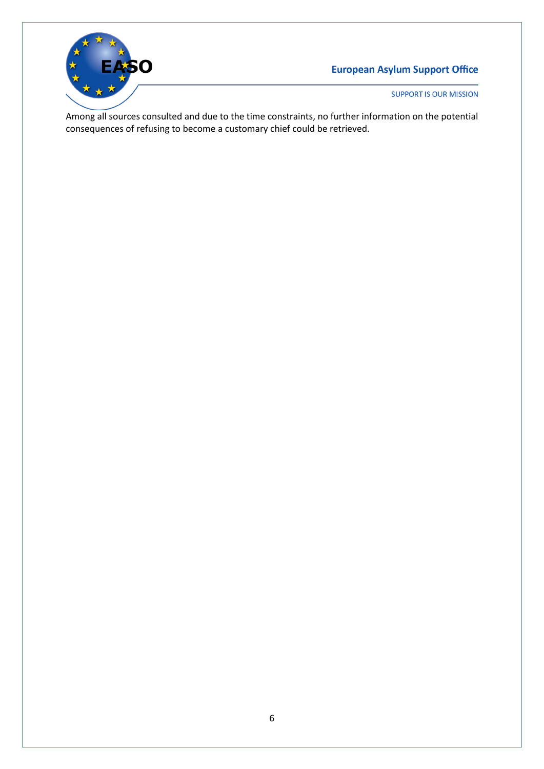

**SUPPORT IS OUR MISSION** 

Among all sources consulted and due to the time constraints, no further information on the potential consequences of refusing to become a customary chief could be retrieved.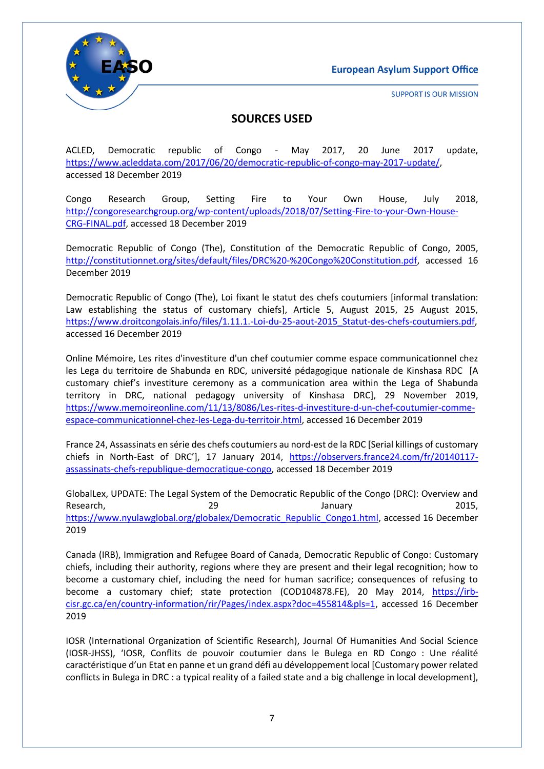

**SUPPORT IS OUR MISSION** 

## **SOURCES USED**

ACLED, Democratic republic of Congo - May 2017, 20 June 2017 update, [https://www.acleddata.com/2017/06/20/democratic-republic-of-congo-may-2017-update/,](https://www.acleddata.com/2017/06/20/democratic-republic-of-congo-may-2017-update/) accessed 18 December 2019

Congo Research Group, Setting Fire to Your Own House, July 2018, [http://congoresearchgroup.org/wp-content/uploads/2018/07/Setting-Fire-to-your-Own-House-](http://congoresearchgroup.org/wp-content/uploads/2018/07/Setting-Fire-to-your-Own-House-CRG-FINAL.pdf)[CRG-FINAL.pdf,](http://congoresearchgroup.org/wp-content/uploads/2018/07/Setting-Fire-to-your-Own-House-CRG-FINAL.pdf) accessed 18 December 2019

Democratic Republic of Congo (The), Constitution of the Democratic Republic of Congo, 2005, [http://constitutionnet.org/sites/default/files/DRC%20-%20Congo%20Constitution.pdf,](http://constitutionnet.org/sites/default/files/DRC%20-%20Congo%20Constitution.pdf) accessed 16 December 2019

Democratic Republic of Congo (The), Loi fixant le statut des chefs coutumiers [informal translation: Law establishing the status of customary chiefs], Article 5, August 2015, 25 August 2015, [https://www.droitcongolais.info/files/1.11.1.-Loi-du-25-aout-2015\\_Statut-des-chefs-coutumiers.pdf,](https://www.droitcongolais.info/files/1.11.1.-Loi-du-25-aout-2015_Statut-des-chefs-coutumiers.pdf) accessed 16 December 2019

Online Mémoire, Les rites d'investiture d'un chef coutumier comme espace communicationnel chez les Lega du territoire de Shabunda en RDC, université pédagogique nationale de Kinshasa RDC [A customary chief's investiture ceremony as a communication area within the Lega of Shabunda territory in DRC, national pedagogy university of Kinshasa DRC], 29 November 2019, [https://www.memoireonline.com/11/13/8086/Les-rites-d-investiture-d-un-chef-coutumier-comme](https://www.memoireonline.com/11/13/8086/Les-rites-d-investiture-d-un-chef-coutumier-comme-espace-communicationnel-chez-les-Lega-du-territoir.html)[espace-communicationnel-chez-les-Lega-du-territoir.html,](https://www.memoireonline.com/11/13/8086/Les-rites-d-investiture-d-un-chef-coutumier-comme-espace-communicationnel-chez-les-Lega-du-territoir.html) accessed 16 December 2019

France 24, Assassinats en série des chefs coutumiers au nord-est de la RDC [Serial killings of customary chiefs in North-East of DRC'], 17 January 2014, [https://observers.france24.com/fr/20140117](https://observers.france24.com/fr/20140117-assassinats-chefs-republique-democratique-congo) [assassinats-chefs-republique-democratique-congo,](https://observers.france24.com/fr/20140117-assassinats-chefs-republique-democratique-congo) accessed 18 December 2019

GlobalLex, UPDATE: The Legal System of the Democratic Republic of the Congo (DRC): Overview and Research, 2015, 29 anuary 2015, [https://www.nyulawglobal.org/globalex/Democratic\\_Republic\\_Congo1.html,](https://www.nyulawglobal.org/globalex/Democratic_Republic_Congo1.html) accessed 16 December 2019

Canada (IRB), Immigration and Refugee Board of Canada, Democratic Republic of Congo: Customary chiefs, including their authority, regions where they are present and their legal recognition; how to become a customary chief, including the need for human sacrifice; consequences of refusing to become a customary chief; state protection (COD104878.FE), 20 May 2014, [https://irb](https://irb-cisr.gc.ca/en/country-information/rir/Pages/index.aspx?doc=455814&pls=1)[cisr.gc.ca/en/country-information/rir/Pages/index.aspx?doc=455814&pls=1,](https://irb-cisr.gc.ca/en/country-information/rir/Pages/index.aspx?doc=455814&pls=1) accessed 16 December 2019

IOSR (International Organization of Scientific Research), Journal Of Humanities And Social Science (IOSR-JHSS), 'IOSR, Conflits de pouvoir coutumier dans le Bulega en RD Congo : Une réalité caractéristique d'un Etat en panne et un grand défi au développement local [Customary power related conflicts in Bulega in DRC : a typical reality of a failed state and a big challenge in local development],